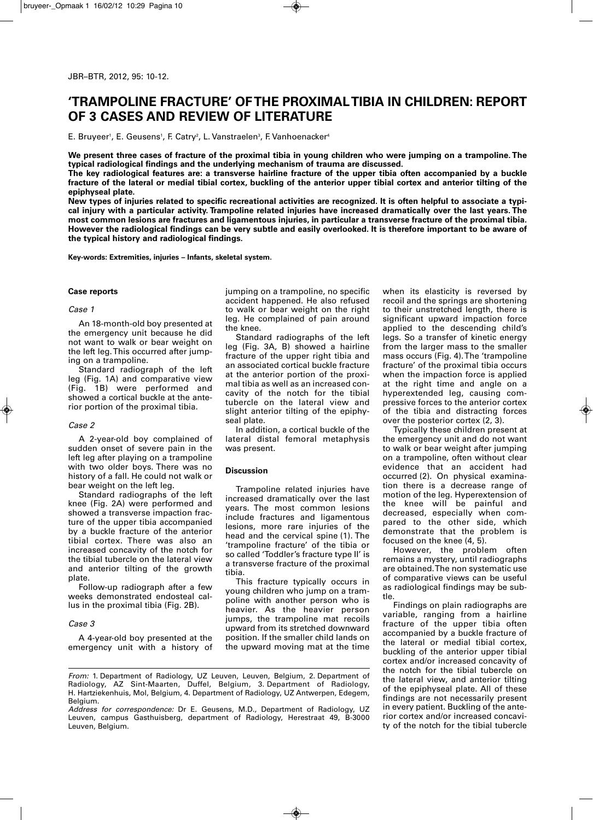# **'TRAMPOLINE FRACTURE' OFTHE PROXIMALTIBIA IN CHILDREN: REPORT OF 3 CASES AND REVIEW OF LITERATURE**

E. Bruyeer', E. Geusens', F. Catry², L. Vanstraelen<sup>3</sup>, F. Vanhoenacker<del>'</del>

We present three cases of fracture of the proximal tibia in young children who were jumping on a trampoline. The **typical radiological findings and the underlying mechanism of trauma are discussed.**

The key radiological features are: a transverse hairline fracture of the upper tibia often accompanied by a buckle fracture of the lateral or medial tibial cortex, buckling of the anterior upper tibial cortex and anterior tilting of the **epiphyseal plate.**

New types of injuries related to specific recreational activities are recognized. It is often helpful to associate a typical injury with a particular activity. Trampoline related injuries have increased dramatically over the last years. The most common lesions are fractures and ligamentous injuries, in particular a transverse fracture of the proximal tibia. However the radiological findings can be very subtle and easily overlooked. It is therefore important to be aware of **the typical history and radiological findings.**

**Key-words: Extremities, injuries – Infants, skeletal system.**

#### **Case reports**

#### *Case 1*

An 18-month-old boy presented at the emergency unit because he did not want to walk or bear weight on the left leg.This occurred after jumping on a trampoline.

Standard radiograph of the left leg (Fig. 1A) and comparative view (Fig. 1B) were performed and showed a cortical buckle at the anterior portion of the proximal tibia.

# *Case 2*

A 2-year-old boy complained of sudden onset of severe pain in the left leg after playing on a trampoline with two older boys. There was no history of a fall. He could not walk or bear weight on the left leg.

Standard radiographs of the left knee (Fig. 2A) were performed and showed a transverse impaction fracture of the upper tibia accompanied by a buckle fracture of the anterior tibial cortex. There was also an increased concavity of the notch for the tibial tubercle on the lateral view and anterior tilting of the growth plate.

Follow-up radiograph after a few weeks demonstrated endosteal callus in the proximal tibia (Fig. 2B).

#### *Case 3*

A 4-year-old boy presented at the emergency unit with a history of jumping on a trampoline, no specific accident happened. He also refused to walk or bear weight on the right leg. He complained of pain around the knee.

Standard radiographs of the left leg (Fig. 3A, B) showed a hairline fracture of the upper right tibia and an associated cortical buckle fracture at the anterior portion of the proximal tibia as well as an increased concavity of the notch for the tibial tubercle on the lateral view and slight anterior tilting of the epiphyseal plate.

In addition, a cortical buckle of the lateral distal femoral metaphysis was present.

#### **Discussion**

Trampoline related injuries have increased dramatically over the last years. The most common lesions include fractures and ligamentous lesions, more rare injuries of the head and the cervical spine (1). The 'trampoline fracture' of the tibia or so called 'Toddler's fracture type II' is a transverse fracture of the proximal tibia.

This fracture typically occurs in young children who jump on a trampoline with another person who is heavier. As the heavier person jumps, the trampoline mat recoils upward from its stretched downward position. If the smaller child lands on the upward moving mat at the time

when its elasticity is reversed by recoil and the springs are shortening to their unstretched length, there is significant upward impaction force applied to the descending child's legs. So a transfer of kinetic energy from the larger mass to the smaller mass occurs (Fig. 4).The 'trampoline fracture' of the proximal tibia occurs when the impaction force is applied at the right time and angle on a hyperextended leg, causing compressive forces to the anterior cortex of the tibia and distracting forces over the posterior cortex (2, 3).

Typically these children present at the emergency unit and do not want to walk or bear weight after jumping on a trampoline, often without clear evidence that an accident had occurred (2). On physical examination there is a decrease range of motion of the leg. Hyperextension of the knee will be painful and decreased, especially when compared to the other side, which demonstrate that the problem is focused on the knee (4, 5).

However, the problem often remains a mystery, until radiographs are obtained.The non systematic use of comparative views can be useful as radiological findings may be subtle.

Findings on plain radiographs are variable, ranging from a hairline fracture of the upper tibia often accompanied by a buckle fracture of the lateral or medial tibial cortex, buckling of the anterior upper tibial cortex and/or increased concavity of the notch for the tibial tubercle on the lateral view, and anterior tilting of the epiphyseal plate. All of these findings are not necessarily present in every patient. Buckling of the anterior cortex and/or increased concavity of the notch for the tibial tubercle

*From:* 1. Department of Radiology, UZ Leuven, Leuven, Belgium, 2. Department of Radiology, AZ Sint-Maarten, Duffel, Belgium, 3. Department of Radiology, H. Hartziekenhuis, Mol, Belgium, 4. Department of Radiology, UZ Antwerpen, Edegem, Belgium.

*Address for correspondence:* Dr E. Geusens, M.D., Department of Radiology, UZ Leuven, campus Gasthuisberg, department of Radiology, Herestraat 49, B-3000 Leuven, Belgium.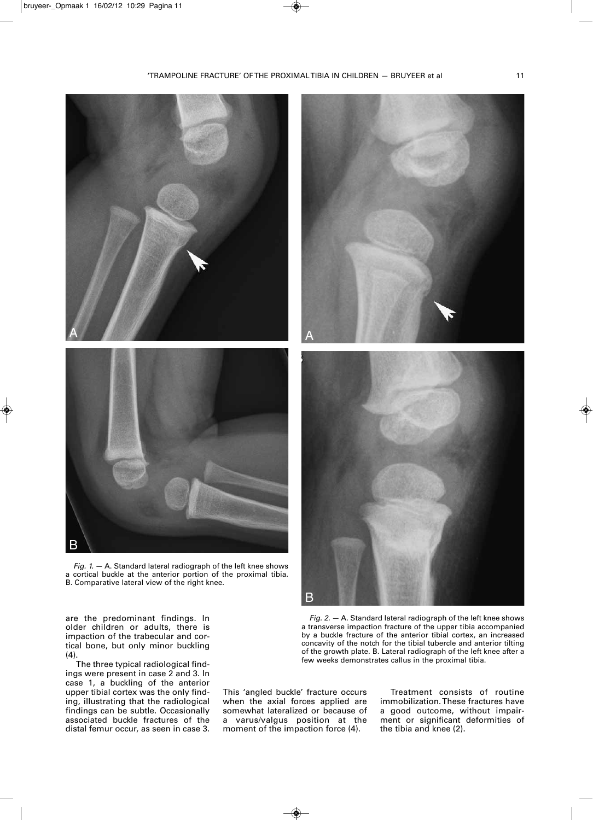

*Fig. 1.* — A. Standard lateral radiograph of the left knee shows a cortical buckle at the anterior portion of the proximal tibia. B. Comparative lateral view of the right knee.

are the predominant findings. In older children or adults, there is impaction of the trabecular and cortical bone, but only minor buckling (4).

The three typical radiological findings were present in case 2 and 3. In case 1, a buckling of the anterior upper tibial cortex was the only finding, illustrating that the radiological findings can be subtle. Occasionally associated buckle fractures of the distal femur occur, as seen in case 3.

This 'angled buckle' fracture occurs when the axial forces applied are somewhat lateralized or because of a varus/valgus position at the

moment of the impaction force (4).

Treatment consists of routine immobilization.These fractures have a good outcome, without impairment or significant deformities of the tibia and knee (2).





*Fig. 2.* — A. Standard lateral radiograph of the left knee shows a transverse impaction fracture of the upper tibia accompanied by a buckle fracture of the anterior tibial cortex, an increased concavity of the notch for the tibial tubercle and anterior tilting of the growth plate. B. Lateral radiograph of the left knee after a

few weeks demonstrates callus in the proximal tibia.